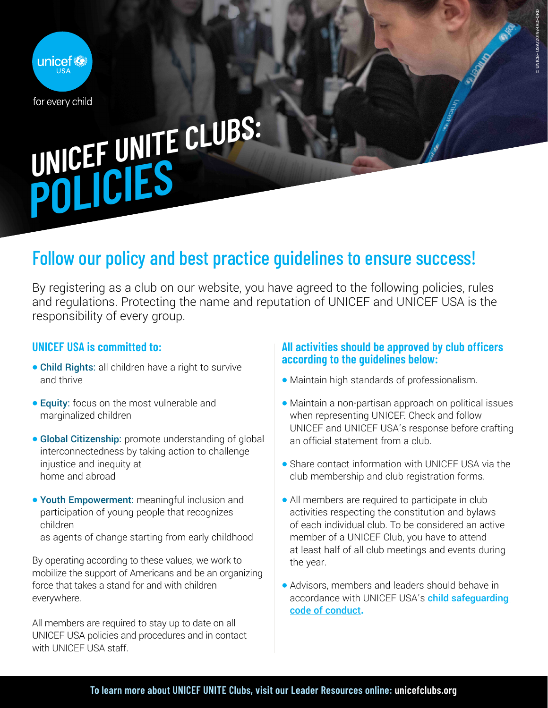

# UNICEF UNITE CLUBS: **POLICIES**

## Follow our policy and best practice guidelines to ensure success!

By registering as a club on our website, you have agreed to the following policies, rules and regulations. Protecting the name and reputation of UNICEF and UNICEF USA is the responsibility of every group.

### **UNICEF USA is committed to:**

- Child Rights: all children have a right to survive and thrive
- **Equity:** focus on the most vulnerable and marginalized children
- Global Citizenship: promote understanding of global interconnectedness by taking action to challenge injustice and inequity at home and abroad
- Youth Empowerment: meaningful inclusion and participation of young people that recognizes children
	- as agents of change starting from early childhood

By operating according to these values, we work to mobilize the support of Americans and be an organizing force that takes a stand for and with children everywhere.

All members are required to stay up to date on all UNICEF USA policies and procedures and in contact with UNICEF USA staff.

#### **All activities should be approved by club officers according to the guidelines below:**

© UNICEF USA/2019/RADFORD

D UNICEF USA/2019/RADFORD

- Maintain high standards of professionalism.
- Maintain a non-partisan approach on political issues when representing UNICEF. Check and follow UNICEF and UNICEF USA's response before crafting an official statement from a club.
- Share contact information with UNICEF USA via the club membership and club registration forms.
- All members are required to participate in club activities respecting the constitution and bylaws of each individual club. To be considered an active member of a UNICEF Club, you have to attend at least half of all club meetings and events during the year.
- Advisors, members and leaders should behave in accordance with UNICEF USA's child safequarding [code of conduct](https://www.unicefusa.org/clubtermsandconditions)**.**